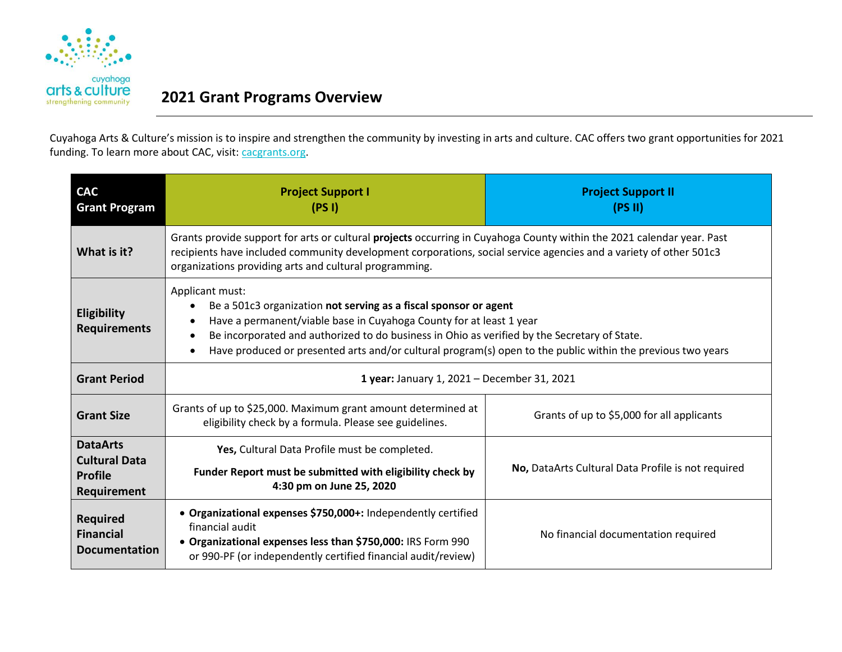

## **CITTS & CUITUFE** 2021 Grant Programs Overview

Cuyahoga Arts & Culture's mission is to inspire and strengthen the community by investing in arts and culture. CAC offers two grant opportunities for 2021 funding. To learn more about CAC, visit: [cacgrants.org.](http://www.cacgrants.org/)

| <b>CAC</b><br><b>Grant Program</b>                                       | <b>Project Support I</b><br>(PSI)                                                                                                                                                                                                                                                                                                                                         | <b>Project Support II</b><br>(PS II)               |
|--------------------------------------------------------------------------|---------------------------------------------------------------------------------------------------------------------------------------------------------------------------------------------------------------------------------------------------------------------------------------------------------------------------------------------------------------------------|----------------------------------------------------|
| What is it?                                                              | Grants provide support for arts or cultural projects occurring in Cuyahoga County within the 2021 calendar year. Past<br>recipients have included community development corporations, social service agencies and a variety of other 501c3<br>organizations providing arts and cultural programming.                                                                      |                                                    |
| <b>Eligibility</b><br><b>Requirements</b>                                | Applicant must:<br>Be a 501c3 organization not serving as a fiscal sponsor or agent<br>Have a permanent/viable base in Cuyahoga County for at least 1 year<br>Be incorporated and authorized to do business in Ohio as verified by the Secretary of State.<br>Have produced or presented arts and/or cultural program(s) open to the public within the previous two years |                                                    |
| <b>Grant Period</b>                                                      | 1 year: January 1, 2021 - December 31, 2021                                                                                                                                                                                                                                                                                                                               |                                                    |
| <b>Grant Size</b>                                                        | Grants of up to \$25,000. Maximum grant amount determined at<br>eligibility check by a formula. Please see guidelines.                                                                                                                                                                                                                                                    | Grants of up to \$5,000 for all applicants         |
| <b>DataArts</b><br><b>Cultural Data</b><br><b>Profile</b><br>Requirement | Yes, Cultural Data Profile must be completed.<br>Funder Report must be submitted with eligibility check by<br>4:30 pm on June 25, 2020                                                                                                                                                                                                                                    | No, DataArts Cultural Data Profile is not required |
| <b>Required</b><br><b>Financial</b><br><b>Documentation</b>              | • Organizational expenses \$750,000+: Independently certified<br>financial audit<br>• Organizational expenses less than \$750,000: IRS Form 990<br>or 990-PF (or independently certified financial audit/review)                                                                                                                                                          | No financial documentation required                |